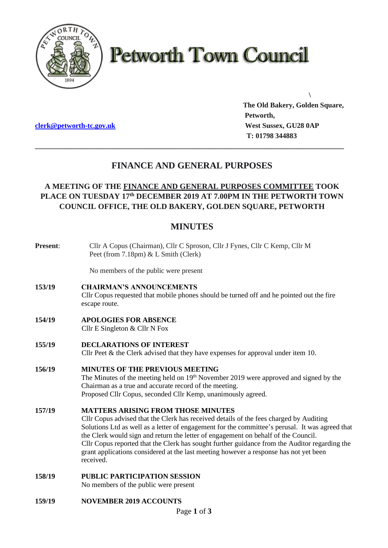

# **Petworth Town Council**

**[clerk@petworth-tc.gov.uk](mailto:clerk@petworth-tc.gov.uk) West Sussex, GU28 0AP**

**The Old Bakery, Golden Square, Petworth, T: 01798 344883**

**\**

## **FINANCE AND GENERAL PURPOSES**

**\_\_\_\_\_\_\_\_\_\_\_\_\_\_\_\_\_\_\_\_\_\_\_\_\_\_\_\_\_\_\_\_\_\_\_\_\_\_\_\_\_\_\_\_\_\_\_\_\_\_\_\_\_\_\_\_\_\_\_\_\_\_\_\_\_\_\_\_\_\_\_\_\_\_\_\_\_\_\_**

## **A MEETING OF THE FINANCE AND GENERAL PURPOSES COMMITTEE TOOK PLACE ON TUESDAY 17 th DECEMBER 2019 AT 7.00PM IN THE PETWORTH TOWN COUNCIL OFFICE, THE OLD BAKERY, GOLDEN SQUARE, PETWORTH**

## **MINUTES**

| <b>Present:</b> | Cllr A Copus (Chairman), Cllr C Sproson, Cllr J Fynes, Cllr C Kemp, Cllr M<br>Peet (from 7.18pm) & L Smith (Clerk)                                                                                                                                                                                                                                                                                                                                                                                                                  |
|-----------------|-------------------------------------------------------------------------------------------------------------------------------------------------------------------------------------------------------------------------------------------------------------------------------------------------------------------------------------------------------------------------------------------------------------------------------------------------------------------------------------------------------------------------------------|
|                 | No members of the public were present                                                                                                                                                                                                                                                                                                                                                                                                                                                                                               |
| 153/19          | <b>CHAIRMAN'S ANNOUNCEMENTS</b><br>Cllr Copus requested that mobile phones should be turned off and he pointed out the fire<br>escape route.                                                                                                                                                                                                                                                                                                                                                                                        |
| 154/19          | <b>APOLOGIES FOR ABSENCE</b><br>Cllr E Singleton $&$ Cllr N Fox                                                                                                                                                                                                                                                                                                                                                                                                                                                                     |
| 155/19          | <b>DECLARATIONS OF INTEREST</b><br>Cllr Peet $\&$ the Clerk advised that they have expenses for approval under item 10.                                                                                                                                                                                                                                                                                                                                                                                                             |
| 156/19          | <b>MINUTES OF THE PREVIOUS MEETING</b><br>The Minutes of the meeting held on 19 <sup>th</sup> November 2019 were approved and signed by the<br>Chairman as a true and accurate record of the meeting.<br>Proposed Cllr Copus, seconded Cllr Kemp, unanimously agreed.                                                                                                                                                                                                                                                               |
| 157/19          | <b>MATTERS ARISING FROM THOSE MINUTES</b><br>Cllr Copus advised that the Clerk has received details of the fees charged by Auditing<br>Solutions Ltd as well as a letter of engagement for the committee's perusal. It was agreed that<br>the Clerk would sign and return the letter of engagement on behalf of the Council.<br>Cllr Copus reported that the Clerk has sought further guidance from the Auditor regarding the<br>grant applications considered at the last meeting however a response has not yet been<br>received. |
| 158/19          | <b>PUBLIC PARTICIPATION SESSION</b><br>No members of the public were present                                                                                                                                                                                                                                                                                                                                                                                                                                                        |
| 159/19          | <b>NOVEMBER 2019 ACCOUNTS</b>                                                                                                                                                                                                                                                                                                                                                                                                                                                                                                       |

Page **1** of **3**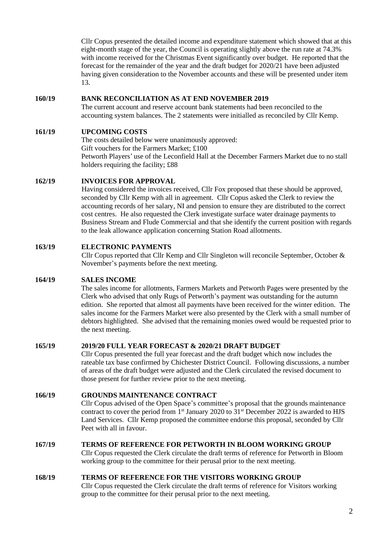Cllr Copus presented the detailed income and expenditure statement which showed that at this eight-month stage of the year, the Council is operating slightly above the run rate at 74.3% with income received for the Christmas Event significantly over budget. He reported that the forecast for the remainder of the year and the draft budget for 2020/21 have been adjusted having given consideration to the November accounts and these will be presented under item 13.

#### **160/19 BANK RECONCILIATION AS AT END NOVEMBER 2019**

The current account and reserve account bank statements had been reconciled to the accounting system balances. The 2 statements were initialled as reconciled by Cllr Kemp.

#### **161/19 UPCOMING COSTS**

The costs detailed below were unanimously approved: Gift vouchers for the Farmers Market; £100 Petworth Players' use of the Leconfield Hall at the December Farmers Market due to no stall holders requiring the facility; £88

#### **162/19 INVOICES FOR APPROVAL**

Having considered the invoices received, Cllr Fox proposed that these should be approved, seconded by Cllr Kemp with all in agreement. Cllr Copus asked the Clerk to review the accounting records of her salary, NI and pension to ensure they are distributed to the correct cost centres. He also requested the Clerk investigate surface water drainage payments to Business Stream and Flude Commercial and that she identify the current position with regards to the leak allowance application concerning Station Road allotments.

#### **163/19 ELECTRONIC PAYMENTS**

Cllr Copus reported that Cllr Kemp and Cllr Singleton will reconcile September, October & November's payments before the next meeting.

#### **164/19 SALES INCOME**

The sales income for allotments, Farmers Markets and Petworth Pages were presented by the Clerk who advised that only Rugs of Petworth's payment was outstanding for the autumn edition. She reported that almost all payments have been received for the winter edition. The sales income for the Farmers Market were also presented by the Clerk with a small number of debtors highlighted. She advised that the remaining monies owed would be requested prior to the next meeting.

#### **165/19 2019/20 FULL YEAR FORECAST & 2020/21 DRAFT BUDGET**

Cllr Copus presented the full year forecast and the draft budget which now includes the rateable tax base confirmed by Chichester District Council. Following discussions, a number of areas of the draft budget were adjusted and the Clerk circulated the revised document to those present for further review prior to the next meeting.

#### **166/19 GROUNDS MAINTENANCE CONTRACT**

Cllr Copus advised of the Open Space's committee's proposal that the grounds maintenance contract to cover the period from 1<sup>st</sup> January 2020 to 31<sup>st</sup> December 2022 is awarded to HJS Land Services. Cllr Kemp proposed the committee endorse this proposal, seconded by Cllr Peet with all in favour.

#### **167/19 TERMS OF REFERENCE FOR PETWORTH IN BLOOM WORKING GROUP**

Cllr Copus requested the Clerk circulate the draft terms of reference for Petworth in Bloom working group to the committee for their perusal prior to the next meeting.

#### **168/19 TERMS OF REFERENCE FOR THE VISITORS WORKING GROUP**

Cllr Copus requested the Clerk circulate the draft terms of reference for Visitors working group to the committee for their perusal prior to the next meeting.